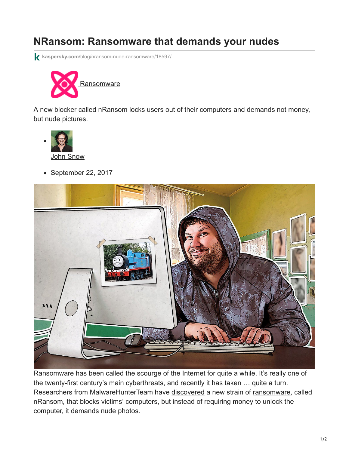## **NRansom: Ransomware that demands your nudes**

**kaspersky.com**[/blog/nransom-nude-ransomware/18597/](https://www.kaspersky.com/blog/nransom-nude-ransomware/18597/)



A new blocker called nRansom locks users out of their computers and demands not money, but nude pictures.



 $\bullet$  September 22, 2017



Ransomware has been called the scourge of the Internet for quite a while. It's really one of the twenty-first century's main cyberthreats, and recently it has taken … quite a turn. Researchers from MalwareHunterTeam have [discovered](https://motherboard.vice.com/en_us/article/yw3w47/this-ransomware-demands-nudes-instead-of-bitcoin) a new strain of [ransomware,](https://encyclopedia.kaspersky.com/glossary/ransomware/?utm_source=kdaily&utm_medium=blog&utm_campaign=termin-explanation) called nRansom, that blocks victims' computers, but instead of requiring money to unlock the computer, it demands nude photos.